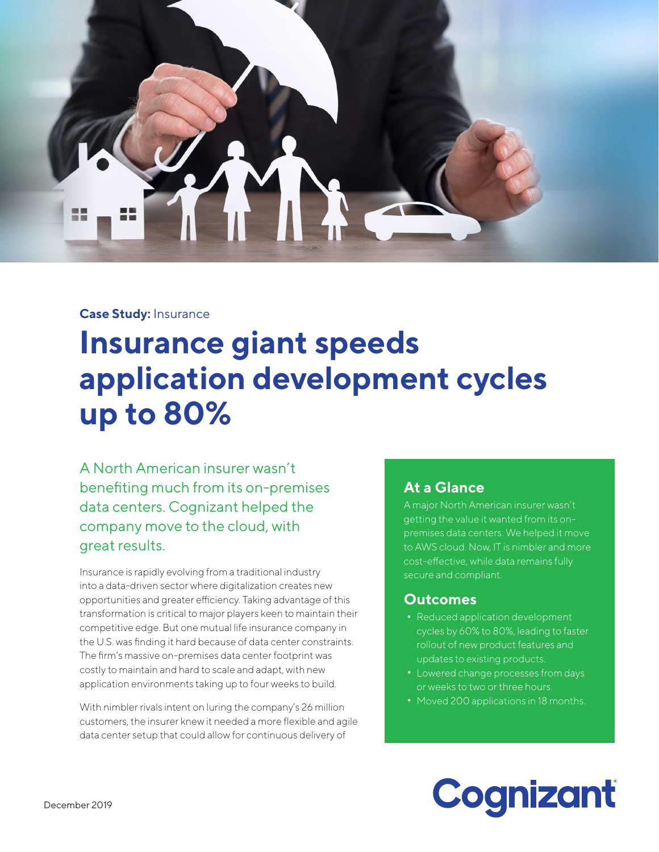

#### **Case Study:** Insurance

## **Insurance giant speeds application development cycles up to 80%**

A North American insurer wasn't benefiting much from its on-premises data centers. Cognizant helped the company move to the cloud, with great results.

Insurance is rapidly evolving from a traditional industry into a data-driven sector where digitalization creates new opportunities and greater efficiency. Taking advantage of this transformation is critical to major players keen to maintain their competitive edge. But one mutual life insurance company in the U.S. was finding it hard because of data center constraints. The firm's massive on-premises data center footprint was costly to maintain and hard to scale and adapt, with new application environments taking up to four weeks to build.

With nimbler rivals intent on luring the company's 26 million customers, the insurer knew it needed a more flexible and agile data center setup that could allow for continuous delivery of

#### **At a Glance**

A major North American insurer wasn't getting the value it wanted from its onpremises data centers. We helped it move to AWS cloud. Now, IT is nimbler and more cost-effective, while data remains fully secure and compliant.

#### **Outcomes**

- **•** Reduced application development cycles by 60% to 80%, leading to faster rollout of new product features and updates to existing products.
- **•** Lowered change processes from days or weeks to two or three hours.
- **•** Moved 200 applications in 18 months.

# Cognizant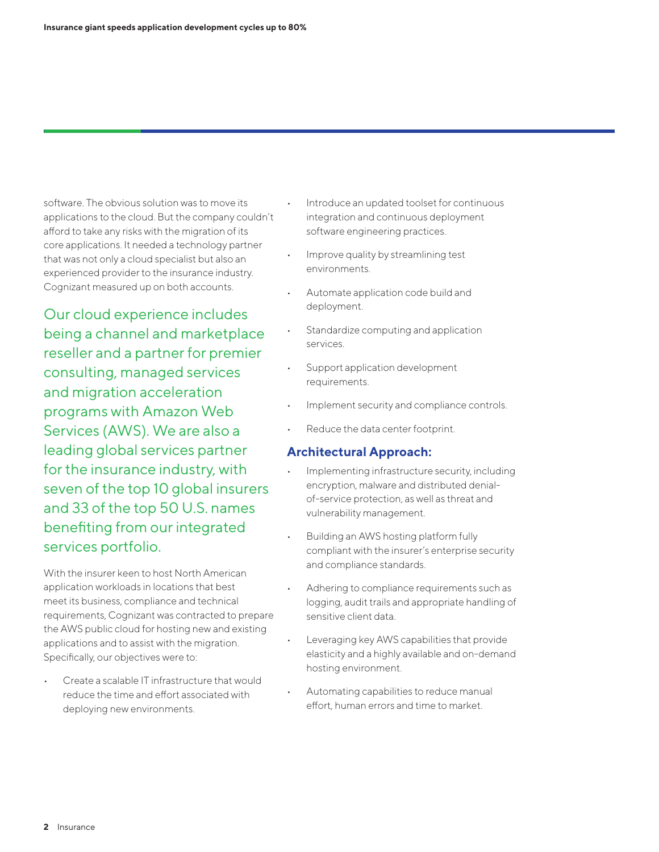software. The obvious solution was to move its applications to the cloud. But the company couldn't afford to take any risks with the migration of its core applications. It needed a technology partner that was not only a cloud specialist but also an experienced provider to the insurance industry. Cognizant measured up on both accounts.

Our cloud experience includes being a channel and marketplace reseller and a partner for premier consulting, managed services and migration acceleration programs with Amazon Web Services (AWS). We are also a leading global services partner for the insurance industry, with seven of the top 10 global insurers and 33 of the top 50 U.S. names benefiting from our integrated services portfolio.

With the insurer keen to host North American application workloads in locations that best meet its business, compliance and technical requirements, Cognizant was contracted to prepare the AWS public cloud for hosting new and existing applications and to assist with the migration. Specifically, our objectives were to:

• Create a scalable IT infrastructure that would reduce the time and effort associated with deploying new environments.

- Introduce an updated toolset for continuous integration and continuous deployment software engineering practices.
- Improve quality by streamlining test environments.
- Automate application code build and deployment.
- Standardize computing and application services.
- Support application development requirements.
- Implement security and compliance controls.
- Reduce the data center footprint.

#### **Architectural Approach:**

- Implementing infrastructure security, including encryption, malware and distributed denialof-service protection, as well as threat and vulnerability management.
- Building an AWS hosting platform fully compliant with the insurer's enterprise security and compliance standards.
- Adhering to compliance requirements such as logging, audit trails and appropriate handling of sensitive client data.
- Leveraging key AWS capabilities that provide elasticity and a highly available and on-demand hosting environment.
- Automating capabilities to reduce manual effort, human errors and time to market.